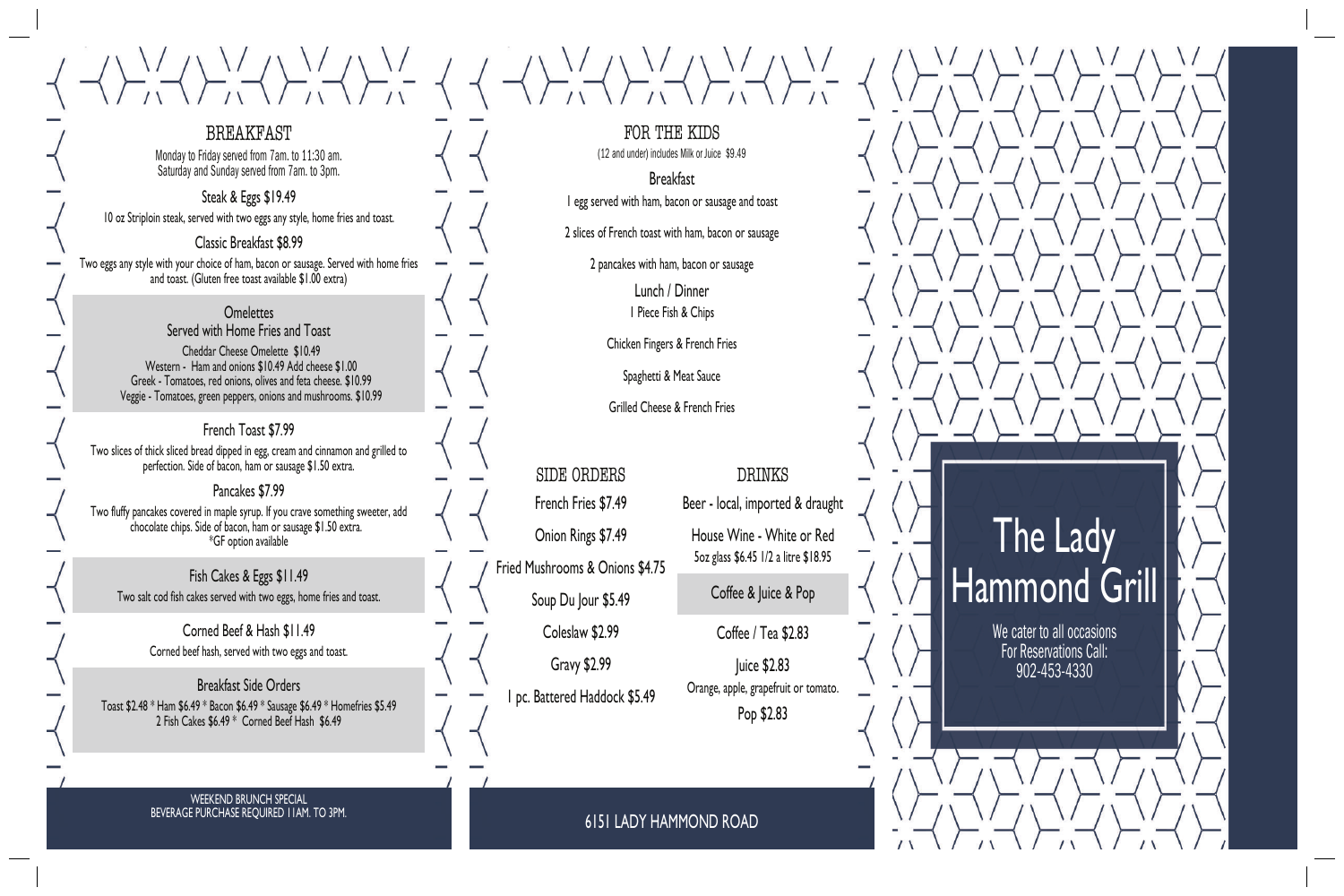# The Lady Hammond Grill

We cater to all occasions For Reservations Call: 902-453-4330

**Breakfast** 1 egg served with ham, bacon or sausage and toast

FOR THE KIDS (12 and under) includes Milk or Juice \$9.49

2 slices of French toast with ham, bacon or sausage

2 pancakes with ham, bacon or sausage

Lunch / Dinner 1 Piece Fish & Chips

Chicken Fingers & French Fries

Spaghetti & Meat Sauce

Grilled Cheese & French Fries

SIDE ORDERS French Fries \$7.49 Onion Rings \$7.49 Fried Mushrooms & Onions \$4.75

 $\langle 1, 1 \rangle \langle 1, 1 \rangle \langle 1, 1 \rangle \langle 1, 1 \rangle \langle 1, 1 \rangle \langle 1, 1 \rangle \langle 1, 1 \rangle \langle 1, 1 \rangle \langle 1, 1 \rangle \langle 1, 1 \rangle \langle 1, 1 \rangle \langle 1, 1 \rangle \langle 1, 1 \rangle \langle 1, 1 \rangle \langle 1, 1 \rangle \langle 1, 1 \rangle \langle 1, 1 \rangle \langle 1, 1 \rangle \langle 1, 1 \rangle \langle 1, 1 \rangle \langle 1, 1 \rangle \langle 1, 1 \rangle \langle 1, 1 \rangle \langle 1, 1 \rangle \langle 1$ 

Soup Du Jour \$5.49

Coleslaw \$2.99

Gravy \$2.99 1 pc. Battered Haddock \$5.49

# DRINKS

Beer - local, imported & draught

#### **Omelettes** Served with Home Fries and Toast

House Wine - White or Red 5oz glass \$6.45 1/2 a litre \$18.95

Coffee & Juice & Pop

Coffee / Tea \$2.83

Juice \$2.83 Orange, apple, grapefruit or tomato. Pop \$2.83

6151 LADY HAMMOND ROAD

# BREAKFAST

Monday to Friday served from 7am. to 11:30 am. Saturday and Sunday served from 7am. to 3pm.

#### Steak & Eggs \$19.49

10 oz Striploin steak, served with two eggs any style, home fries and toast.

### Classic Breakfast \$8.99

Two eggs any style with your choice of ham, bacon or sausage. Served with home fries and toast. (Gluten free toast available \$1.00 extra)

> Cheddar Cheese Omelette \$10.49 Western - Ham and onions \$10.49 Add cheese \$1.00 Greek - Tomatoes, red onions, olives and feta cheese. \$10.99 Veggie - Tomatoes, green peppers, onions and mushrooms. \$10.99

## French Toast \$7.99

Two slices of thick sliced bread dipped in egg, cream and cinnamon and grilled to perfection. Side of bacon, ham or sausage \$1.50 extra.

#### Pancakes \$7.99

Two fluffy pancakes covered in maple syrup. If you crave something sweeter, add chocolate chips. Side of bacon, ham or sausage \$1.50 extra. \*GF option available

Fish Cakes & Eggs \$11.49 Two salt cod fish cakes served with two eggs, home fries and toast.

> Corned Beef & Hash \$11.49 Corned beef hash, served with two eggs and toast.

Breakfast Side Orders Toast \$2.48 \* Ham \$6.49 \* Bacon \$6.49 \* Sausage \$6.49 \* Homefries \$5.49 2 Fish Cakes \$6.49 \* Corned Beef Hash \$6.49

#### WEEKEND BRUNCH SPECIAL BEVERAGE PURCHASE REQUIRED 11AM. TO 3PM.